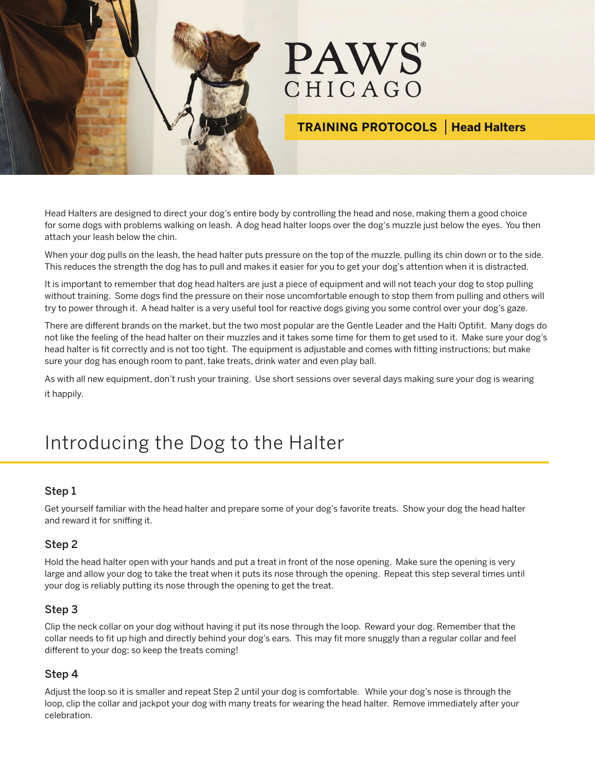

# **PAWS** CHICAGO

### **TRAINING PROTOCOLS Head Halters**

Head Halters are designed to direct your dog's entire body by controlling the head and nose, making them a good choice for some dogs with problems walking on leash. A dog head halter loops over the dog's muzzle just below the eyes. You then attach your leash below the chin.

When your dog pulls on the leash, the head halter puts pressure on the top of the muzzle, pulling its chin down or to the side. This reduces the strength the dog has to pull and makes it easier for you to get your dog's attention when it is distracted.

It is important to remember that dog head halters are just a piece of equipment and will not teach your dog to stop pulling without training. Some dogs find the pressure on their nose uncomfortable enough to stop them from pulling and others will try to power through it. A head halter is a very useful tool for reactive dogs giving you some control over your dog's gaze.

There are different brands on the market, but the two most popular are the Gentle Leader and the Halti Optifit. Many dogs do not like the feeling of the head halter on their muzzles and it takes some time for them to get used to it. Make sure your dog's head halter is fit correctly and is not too tight. The equipment is adjustable and comes with fitting instructions; but make sure your dog has enough room to pant, take treats, drink water and even play ball.

As with all new equipment, don't rush your training. Use short sessions over several days making sure your dog is wearing it happily.

## Introducing the Dog to the Halter

#### Step 1

Get yourself familiar with the head halter and prepare some of your dog's favorite treats. Show your dog the head halter and reward it for sniffing it.

#### Step 2

Hold the head halter open with your hands and put a treat in front of the nose opening. Make sure the opening is very large and allow your dog to take the treat when it puts its nose through the opening. Repeat this step several times until your dog is reliably putting its nose through the opening to get the treat.

#### Step 3

Clip the neck collar on your dog without having it put its nose through the loop. Reward your dog. Remember that the collar needs to fit up high and directly behind your dog's ears. This may fit more snuggly than a regular collar and feel different to your dog; so keep the treats coming!

#### Step 4

Adjust the loop so it is smaller and repeat Step 2 until your dog is comfortable. While your dog's nose is through the loop, clip the collar and jackpot your dog with many treats for wearing the head halter. Remove immediately after your celebration.